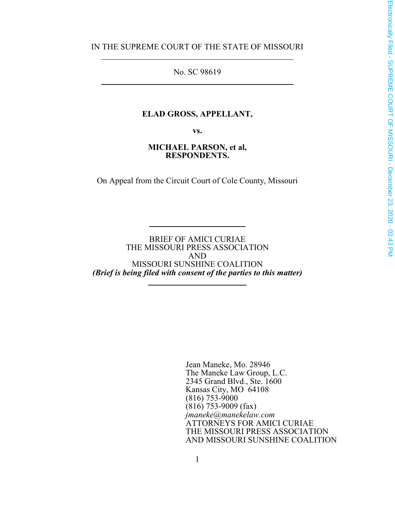IN THE SUPREME COURT OF THE STATE OF MISSOURI

 $\overline{a}$ 

 $\overline{a}$ 

No. SC 98619

#### **ELAD GROSS, APPELLANT,**

**vs.**

#### **MICHAEL PARSON, et al, RESPONDENTS.**

On Appeal from the Circuit Court of Cole County, Missouri

BRIEF OF AMICI CURIAE THE MISSOURI PRESS ASSOCIATION AND MISSOURI SUNSHINE COALITION *(Brief is being filed with consent of the parties to this matter)*

l

l

Jean Maneke, Mo. 28946 The Maneke Law Group, L.C. 2345 Grand Blvd., Ste. 1600 Kansas City, MO 64108  $(816)$  753-9000  $(816)$  753-9009 (fax) *jmaneke@manekelaw.com* ATTORNEYS FOR AMICI CURIAE THE MISSOURI PRESS ASSOCIATION AND MISSOURI SUNSHINE COALITION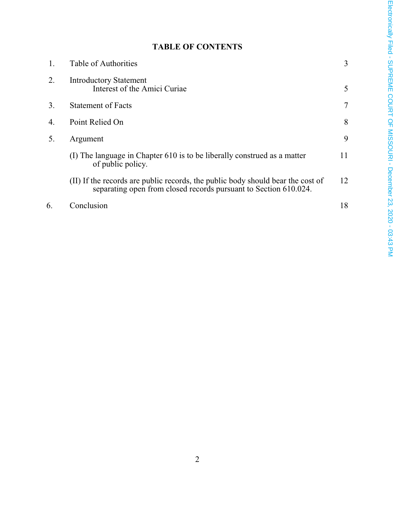# **TABLE OF CONTENTS**

| 1. | Table of Authorities                                                                                                                                | 3  |
|----|-----------------------------------------------------------------------------------------------------------------------------------------------------|----|
| 2. | <b>Introductory Statement</b><br>Interest of the Amici Curiae                                                                                       | 5  |
| 3. | <b>Statement of Facts</b>                                                                                                                           | 7  |
| 4. | Point Relied On                                                                                                                                     | 8  |
| 5. | Argument                                                                                                                                            | 9  |
|    | (I) The language in Chapter 610 is to be liberally construed as a matter<br>of public policy.                                                       | 11 |
|    | (II) If the records are public records, the public body should bear the cost of<br>separating open from closed records pursuant to Section 610.024. | 12 |
| 6. | Conclusion                                                                                                                                          | 18 |
|    |                                                                                                                                                     |    |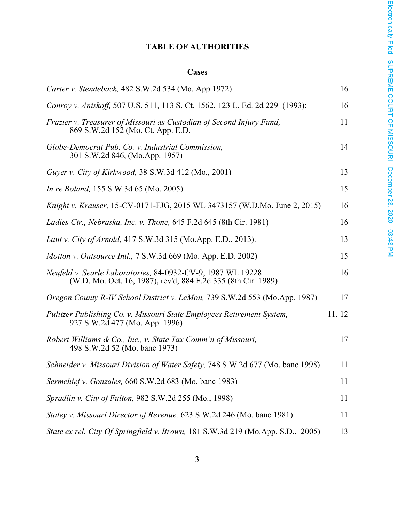# **TABLE OF AUTHORITIES**

### **Cases**

| Carter v. Stendeback, 482 S.W.2d 534 (Mo. App 1972)                                                                          | 16     |
|------------------------------------------------------------------------------------------------------------------------------|--------|
| Conroy v. Aniskoff, 507 U.S. 511, 113 S. Ct. 1562, 123 L. Ed. 2d 229 (1993);                                                 | 16     |
| Frazier v. Treasurer of Missouri as Custodian of Second Injury Fund,<br>869 S.W.2d 152 (Mo. Ct. App. E.D.                    | 11     |
| Globe-Democrat Pub. Co. v. Industrial Commission,<br>301 S.W.2d 846, (Mo.App. 1957)                                          | 14     |
| Guyer v. City of Kirkwood, 38 S.W.3d 412 (Mo., 2001)                                                                         | 13     |
| <i>In re Boland</i> , 155 S.W.3d 65 (Mo. 2005)                                                                               | 15     |
| Knight v. Krauser, 15-CV-0171-FJG, 2015 WL 3473157 (W.D.Mo. June 2, 2015)                                                    | 16     |
| Ladies Ctr., Nebraska, Inc. v. Thone, 645 F.2d 645 (8th Cir. 1981)                                                           | 16     |
| Laut v. City of Arnold, 417 S.W.3d 315 (Mo.App. E.D., 2013).                                                                 | 13     |
| Motton v. Outsource Intl., 7 S.W.3d 669 (Mo. App. E.D. 2002)                                                                 | 15     |
| Neufeld v. Searle Laboratories, 84-0932-CV-9, 1987 WL 19228<br>(W.D. Mo. Oct. 16, 1987), rev'd, 884 F.2d 335 (8th Cir. 1989) | 16     |
| Oregon County R-IV School District v. LeMon, 739 S.W.2d 553 (Mo.App. 1987)                                                   | 17     |
| Pulitzer Publishing Co. v. Missouri State Employees Retirement System,<br>927 S.W.2d 477 (Mo. App. 1996)                     | 11, 12 |
| Robert Williams & Co., Inc., v. State Tax Comm'n of Missouri,<br>498 S.W.2d 52 (Mo. banc 1973)                               | 17     |
| Schneider v. Missouri Division of Water Safety, 748 S.W.2d 677 (Mo. banc 1998)                                               | 11     |
| Sermchief v. Gonzales, 660 S.W.2d 683 (Mo. banc 1983)                                                                        | 11     |
| Spradlin v. City of Fulton, 982 S.W.2d 255 (Mo., 1998)                                                                       | 11     |
| Staley v. Missouri Director of Revenue, 623 S.W.2d 246 (Mo. banc 1981)                                                       | 11     |
| State ex rel. City Of Springfield v. Brown, 181 S.W.3d 219 (Mo.App. S.D., 2005)                                              | 13     |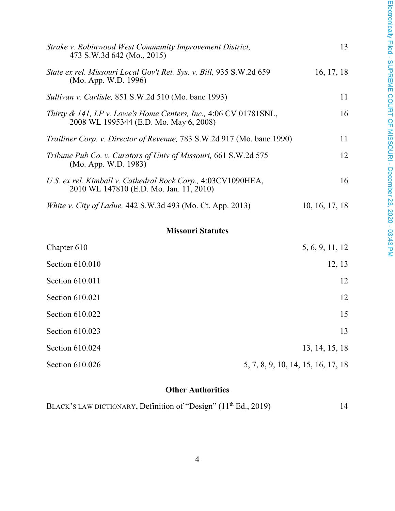| Strake v. Robinwood West Community Improvement District,<br>473 S.W.3d 642 (Mo., 2015)                       | 13             |
|--------------------------------------------------------------------------------------------------------------|----------------|
| State ex rel. Missouri Local Gov't Ret. Sys. v. Bill, 935 S.W.2d 659<br>(Mo. App. W.D. 1996)                 | 16, 17, 18     |
| <i>Sullivan v. Carlisle, 851 S.W.2d 510 (Mo. banc 1993)</i>                                                  | 11             |
| Thirty & 141, LP v. Lowe's Home Centers, Inc., $4:06$ CV 01781SNL,<br>2008 WL 1995344 (E.D. Mo. May 6, 2008) | 16             |
| Trailiner Corp. v. Director of Revenue, 783 S.W.2d 917 (Mo. banc 1990)                                       | 11             |
| Tribune Pub Co. v. Curators of Univ of Missouri, 661 S.W.2d 575<br>(Mo. App. W.D. 1983)                      | 12             |
| U.S. ex rel. Kimball v. Cathedral Rock Corp., 4:03CV1090HEA,<br>2010 WL 147810 (E.D. Mo. Jan. 11, 2010)      | 16             |
| White v. City of Ladue, 442 S.W.3d 493 (Mo. Ct. App. 2013)                                                   | 10, 16, 17, 18 |
|                                                                                                              |                |

### **Missouri Statutes**

| Chapter 610     | 5, 6, 9, 11, 12                    |
|-----------------|------------------------------------|
| Section 610.010 | 12, 13                             |
| Section 610.011 | 12                                 |
| Section 610.021 | 12                                 |
| Section 610.022 | 15                                 |
| Section 610.023 | 13                                 |
| Section 610.024 | 13, 14, 15, 18                     |
| Section 610.026 | 5, 7, 8, 9, 10, 14, 15, 16, 17, 18 |

# **Other Authorities**

| BLACK'S LAW DICTIONARY, Definition of "Design" (11 <sup>th</sup> Ed., 2019) |  |  |
|-----------------------------------------------------------------------------|--|--|
|-----------------------------------------------------------------------------|--|--|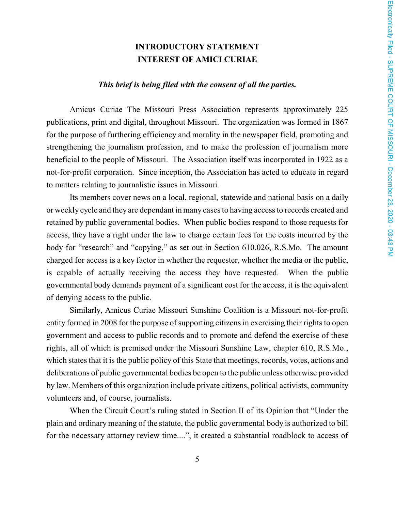### **INTRODUCTORY STATEMENT INTEREST OF AMICI CURIAE**

#### *This brief is being filed with the consent of all the parties.*

Amicus Curiae The Missouri Press Association represents approximately 225 publications, print and digital, throughout Missouri. The organization was formed in 1867 for the purpose of furthering efficiency and morality in the newspaper field, promoting and strengthening the journalism profession, and to make the profession of journalism more beneficial to the people of Missouri. The Association itself was incorporated in 1922 as a not-for-profit corporation. Since inception, the Association has acted to educate in regard to matters relating to journalistic issues in Missouri.

Its members cover news on a local, regional, statewide and national basis on a daily or weekly cycle and they are dependant in many cases to having access to records created and retained by public governmental bodies. When public bodies respond to those requests for access, they have a right under the law to charge certain fees for the costs incurred by the body for "research" and "copying," as set out in Section 610.026, R.S.Mo. The amount charged for access is a key factor in whether the requester, whether the media or the public, is capable of actually receiving the access they have requested. When the public governmental body demands payment of a significant cost for the access, it is the equivalent of denying access to the public.

Similarly, Amicus Curiae Missouri Sunshine Coalition is a Missouri not-for-profit entity formed in 2008 for the purpose of supporting citizens in exercising their rights to open government and access to public records and to promote and defend the exercise of these rights, all of which is premised under the Missouri Sunshine Law, chapter 610, R.S.Mo., which states that it is the public policy of this State that meetings, records, votes, actions and deliberations of public governmental bodies be open to the public unless otherwise provided by law. Members of this organization include private citizens, political activists, community volunteers and, of course, journalists.

When the Circuit Court's ruling stated in Section II of its Opinion that "Under the plain and ordinary meaning of the statute, the public governmental body is authorized to bill for the necessary attorney review time....", it created a substantial roadblock to access of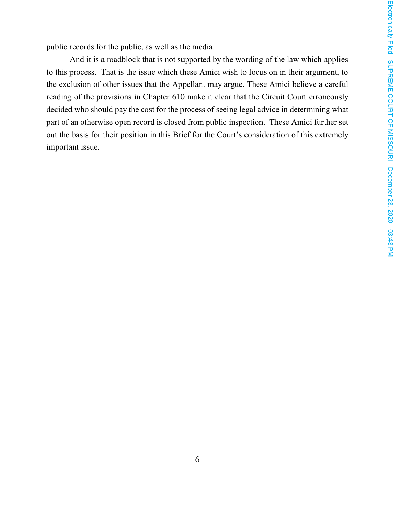public records for the public, as well as the media.

And it is a roadblock that is not supported by the wording of the law which applies to this process. That is the issue which these Amici wish to focus on in their argument, to the exclusion of other issues that the Appellant may argue. These Amici believe a careful reading of the provisions in Chapter 610 make it clear that the Circuit Court erroneously decided who should pay the cost for the process of seeing legal advice in determining what part of an otherwise open record is closed from public inspection. These Amici further set out the basis for their position in this Brief for the Court's consideration of this extremely important issue.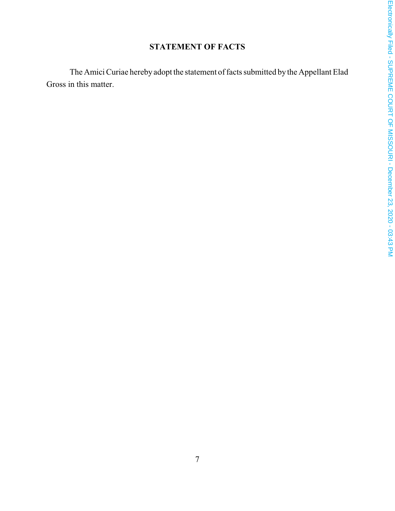# **STATEMENT OF FACTS**

The Amici Curiae hereby adopt the statement of facts submitted by the Appellant Elad Gross in this matter.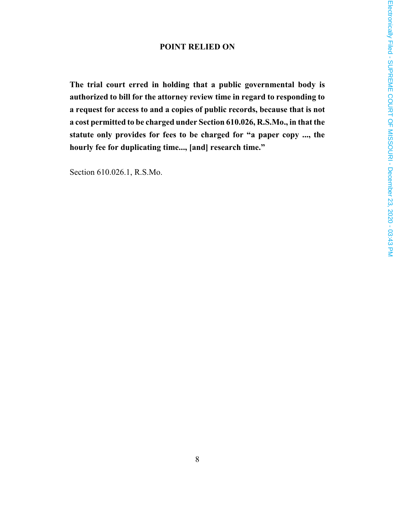### **POINT RELIED ON**

**The trial court erred in holding that a public governmental body is authorized to bill for the attorney review time in regard to responding to a request for access to and a copies of public records, because that is not a cost permitted to be charged under Section 610.026, R.S.Mo., in that the statute only provides for fees to be charged for "a paper copy ..., the hourly fee for duplicating time..., [and] research time."**

Section 610.026.1, R.S.Mo.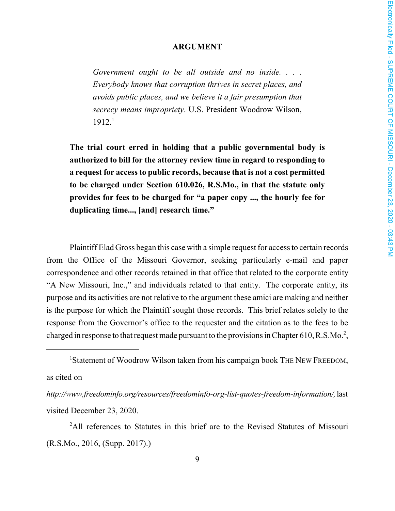#### **ARGUMENT**

*Government ought to be all outside and no inside. . . . Everybody knows that corruption thrives in secret places, and avoids public places, and we believe it a fair presumption that secrecy means impropriety*. U.S. President Woodrow Wilson,  $1912.<sup>1</sup>$ 

**The trial court erred in holding that a public governmental body is authorized to bill for the attorney review time in regard to responding to a request for access to public records, because that is not a cost permitted to be charged under Section 610.026, R.S.Mo., in that the statute only provides for fees to be charged for "a paper copy ..., the hourly fee for duplicating time..., [and] research time."**

Plaintiff Elad Gross began this case with a simple request for access to certain records from the Office of the Missouri Governor, seeking particularly e-mail and paper correspondence and other records retained in that office that related to the corporate entity "A New Missouri, Inc.," and individuals related to that entity. The corporate entity, its purpose and its activities are not relative to the argument these amici are making and neither is the purpose for which the Plaintiff sought those records. This brief relates solely to the response from the Governor's office to the requester and the citation as to the fees to be charged in response to that request made pursuant to the provisions in Chapter 610, R.S.Mo.<sup>2</sup>,

as cited on

*http://www.freedominfo.org/resources/freedominfo-org-list-quotes-freedom-information/,*last visited December 23, 2020.

<sup>2</sup>All references to Statutes in this brief are to the Revised Statutes of Missouri (R.S.Mo., 2016, (Supp. 2017).)

<sup>&</sup>lt;sup>1</sup>Statement of Woodrow Wilson taken from his campaign book THE NEW FREEDOM,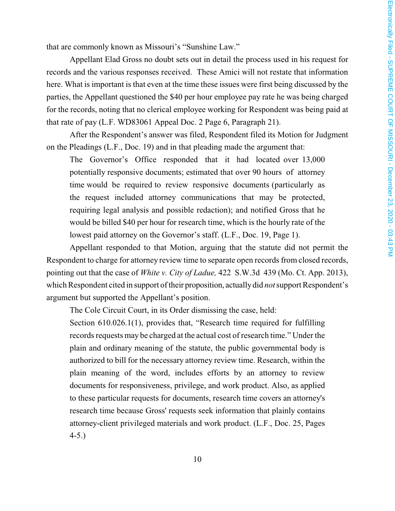that are commonly known as Missouri's "Sunshine Law."

Appellant Elad Gross no doubt sets out in detail the process used in his request for records and the various responses received. These Amici will not restate that information here. What is important is that even at the time these issues were first being discussed by the parties, the Appellant questioned the \$40 per hour employee pay rate he was being charged for the records, noting that no clerical employee working for Respondent was being paid at that rate of pay (L.F. WD83061 Appeal Doc. 2 Page 6, Paragraph 21).

After the Respondent's answer was filed, Respondent filed its Motion for Judgment on the Pleadings (L.F., Doc. 19) and in that pleading made the argument that:

The Governor's Office responded that it had located over 13,000 potentially responsive documents; estimated that over 90 hours of attorney time would be required to review responsive documents (particularly as the request included attorney communications that may be protected, requiring legal analysis and possible redaction); and notified Gross that he would be billed \$40 per hour for research time, which is the hourly rate of the lowest paid attorney on the Governor's staff. (L.F., Doc. 19, Page 1).

Appellant responded to that Motion, arguing that the statute did not permit the Respondent to charge for attorney review time to separate open records from closed records, pointing out that the case of *White v. City of Ladue,* 422 S.W.3d 439 (Mo. Ct. App. 2013), which Respondent cited in support of their proposition, actually did *not* support Respondent's argument but supported the Appellant's position.

The Cole Circuit Court, in its Order dismissing the case, held:

Section 610.026.1(1), provides that, "Research time required for fulfilling records requests may be charged at the actual cost of research time." Under the plain and ordinary meaning of the statute, the public governmental body is authorized to bill for the necessary attorney review time. Research, within the plain meaning of the word, includes efforts by an attorney to review documents for responsiveness, privilege, and work product. Also, as applied to these particular requests for documents, research time covers an attorney's research time because Gross' requests seek information that plainly contains attorney-client privileged materials and work product. (L.F., Doc. 25, Pages 4-5.)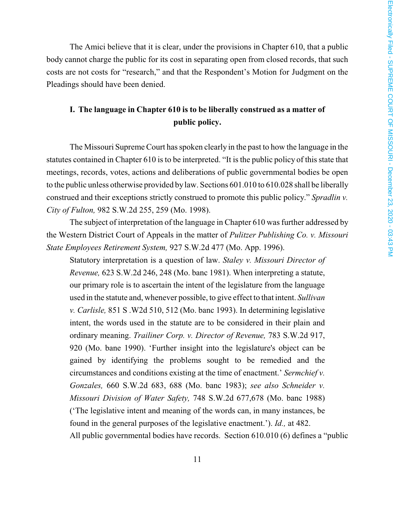The Amici believe that it is clear, under the provisions in Chapter 610, that a public body cannot charge the public for its cost in separating open from closed records, that such costs are not costs for "research," and that the Respondent's Motion for Judgment on the Pleadings should have been denied.

## **I. The language in Chapter 610 is to be liberally construed as a matter of public policy.**

The Missouri Supreme Court has spoken clearly in the past to how the language in the statutes contained in Chapter 610 is to be interpreted. "It is the public policy of this state that meetings, records, votes, actions and deliberations of public governmental bodies be open to the public unless otherwise provided by law. Sections 601.010 to 610.028 shall be liberally construed and their exceptions strictly construed to promote this public policy." *Spradlin v. City of Fulton,* 982 S.W.2d 255, 259 (Mo. 1998).

The subject of interpretation of the language in Chapter 610 was further addressed by the Western District Court of Appeals in the matter of *Pulitzer Publishing Co. v. Missouri State Employees Retirement System,* 927 S.W.2d 477 (Mo. App. 1996).

Statutory interpretation is a question of law. *Staley v. Missouri Director of Revenue,* 623 S.W.2d 246, 248 (Mo. banc 1981). When interpreting a statute, our primary role is to ascertain the intent of the legislature from the language used in the statute and, whenever possible, to give effect to that intent. *Sullivan v. Carlisle,* 851 S .W2d 510, 512 (Mo. banc 1993). In determining legislative intent, the words used in the statute are to be considered in their plain and ordinary meaning. *Trailiner Corp. v. Director of Revenue,* 783 S.W.2d 917, 920 (Mo. bane 1990). 'Further insight into the legislature's object can be gained by identifying the problems sought to be remedied and the circumstances and conditions existing at the time of enactment.' *Sermchief v. Gonzales,* 660 S.W.2d 683, 688 (Mo. banc 1983); *see also Schneider v. Missouri Division of Water Safety,* 748 S.W.2d 677,678 (Mo. banc 1988) ('The legislative intent and meaning of the words can, in many instances, be found in the general purposes of the legislative enactment.'). *Id.,* at 482. All public governmental bodies have records. Section 610.010 (6) defines a "public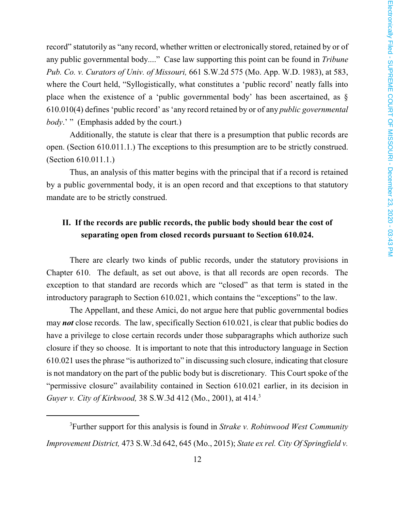record" statutorily as "any record, whether written or electronically stored, retained by or of any public governmental body...." Case law supporting this point can be found in *Tribune Pub. Co. v. Curators of Univ. of Missouri,* 661 S.W.2d 575 (Mo. App. W.D. 1983), at 583, where the Court held, "Syllogistically, what constitutes a 'public record' neatly falls into place when the existence of a 'public governmental body' has been ascertained, as § 610.010(4) defines 'public record' as 'any record retained by or of any *public governmental body*.' " (Emphasis added by the court.)

Additionally, the statute is clear that there is a presumption that public records are open. (Section 610.011.1.) The exceptions to this presumption are to be strictly construed. (Section 610.011.1.)

Thus, an analysis of this matter begins with the principal that if a record is retained by a public governmental body, it is an open record and that exceptions to that statutory mandate are to be strictly construed.

# **II. If the records are public records, the public body should bear the cost of separating open from closed records pursuant to Section 610.024.**

There are clearly two kinds of public records, under the statutory provisions in Chapter 610. The default, as set out above, is that all records are open records. The exception to that standard are records which are "closed" as that term is stated in the introductory paragraph to Section 610.021, which contains the "exceptions" to the law.

The Appellant, and these Amici, do not argue here that public governmental bodies may *not* close records. The law, specifically Section 610.021, is clear that public bodies do have a privilege to close certain records under those subparagraphs which authorize such closure if they so choose. It is important to note that this introductory language in Section 610.021 uses the phrase "is authorized to" in discussing such closure, indicating that closure is not mandatory on the part of the public body but is discretionary. This Court spoke of the "permissive closure" availability contained in Section 610.021 earlier, in its decision in *Guyer v. City of Kirkwood,* 38 S.W.3d 412 (Mo., 2001), at 414.<sup>3</sup>

<sup>3</sup>Further support for this analysis is found in *Strake v. Robinwood West Community Improvement District,* 473 S.W.3d 642, 645 (Mo., 2015); *State ex rel. City Of Springfield v.*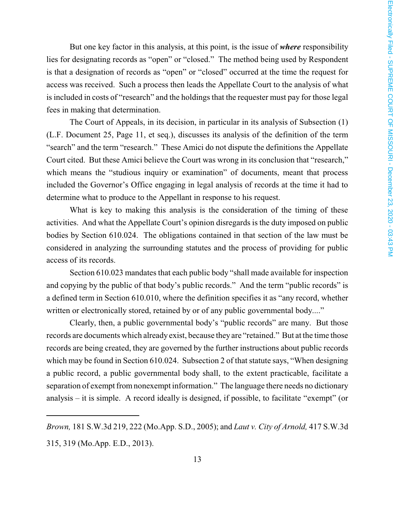But one key factor in this analysis, at this point, is the issue of *where* responsibility lies for designating records as "open" or "closed." The method being used by Respondent is that a designation of records as "open" or "closed" occurred at the time the request for access was received. Such a process then leads the Appellate Court to the analysis of what is included in costs of "research" and the holdings that the requester must pay for those legal fees in making that determination.

The Court of Appeals, in its decision, in particular in its analysis of Subsection (1) (L.F. Document 25, Page 11, et seq.), discusses its analysis of the definition of the term "search" and the term "research." These Amici do not dispute the definitions the Appellate Court cited. But these Amici believe the Court was wrong in its conclusion that "research," which means the "studious inquiry or examination" of documents, meant that process included the Governor's Office engaging in legal analysis of records at the time it had to determine what to produce to the Appellant in response to his request.

What is key to making this analysis is the consideration of the timing of these activities. And what the Appellate Court's opinion disregards is the duty imposed on public bodies by Section 610.024. The obligations contained in that section of the law must be considered in analyzing the surrounding statutes and the process of providing for public access of its records.

Section 610.023 mandates that each public body "shall made available for inspection and copying by the public of that body's public records." And the term "public records" is a defined term in Section 610.010, where the definition specifies it as "any record, whether written or electronically stored, retained by or of any public governmental body...."

Clearly, then, a public governmental body's "public records" are many. But those records are documents which already exist, because they are "retained." But at the time those records are being created, they are governed by the further instructions about public records which may be found in Section 610.024. Subsection 2 of that statute says, "When designing a public record, a public governmental body shall, to the extent practicable, facilitate a separation of exempt fromnonexempt information." The language there needs no dictionary analysis – it is simple. A record ideally is designed, if possible, to facilitate "exempt" (or

*Brown,* 181 S.W.3d 219, 222 (Mo.App. S.D., 2005); and *Laut v. City of Arnold,* 417 S.W.3d 315, 319 (Mo.App. E.D., 2013).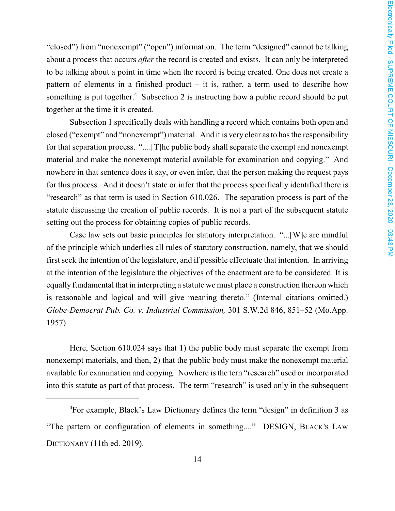"closed") from "nonexempt" ("open") information. The term "designed" cannot be talking about a process that occurs *after* the record is created and exists. It can only be interpreted to be talking about a point in time when the record is being created. One does not create a pattern of elements in a finished product – it is, rather, a term used to describe how something is put together.<sup>4</sup> Subsection 2 is instructing how a public record should be put together at the time it is created.

Subsection 1 specifically deals with handling a record which contains both open and closed ("exempt" and "nonexempt") material. And it is very clear as to has the responsibility for that separation process. "....[T]he public body shall separate the exempt and nonexempt material and make the nonexempt material available for examination and copying." And nowhere in that sentence does it say, or even infer, that the person making the request pays for this process. And it doesn't state or infer that the process specifically identified there is "research" as that term is used in Section 610.026. The separation process is part of the statute discussing the creation of public records. It is not a part of the subsequent statute setting out the process for obtaining copies of public records.

Case law sets out basic principles for statutory interpretation. "...[W]e are mindful of the principle which underlies all rules of statutory construction, namely, that we should first seek the intention of the legislature, and if possible effectuate that intention. In arriving at the intention of the legislature the objectives of the enactment are to be considered. It is equally fundamental that in interpreting a statute we must place a construction thereon which is reasonable and logical and will give meaning thereto." (Internal citations omitted.) *Globe-Democrat Pub. Co. v. Industrial Commission,* 301 S.W.2d 846, 851–52 (Mo.App. 1957).

Here, Section 610.024 says that 1) the public body must separate the exempt from nonexempt materials, and then, 2) that the public body must make the nonexempt material available for examination and copying. Nowhere is the tern "research" used or incorporated into this statute as part of that process. The term "research" is used only in the subsequent

<sup>4</sup>For example, Black's Law Dictionary defines the term "design" in definition 3 as "The pattern or configuration of elements in something...." DESIGN, BLACK'S LAW DICTIONARY (11th ed. 2019).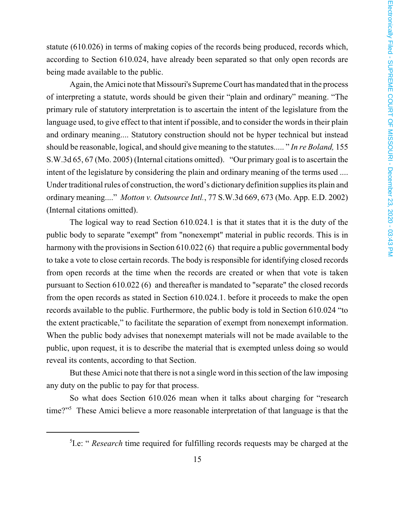statute (610.026) in terms of making copies of the records being produced, records which, according to Section 610.024, have already been separated so that only open records are being made available to the public.

Again, the Amici note that Missouri's Supreme Court has mandated that in the process of interpreting a statute, words should be given their "plain and ordinary" meaning. "The primary rule of statutory interpretation is to ascertain the intent of the legislature from the language used, to give effect to that intent if possible, and to consider the words in their plain and ordinary meaning.... Statutory construction should not be hyper technical but instead should be reasonable, logical, and should give meaning to the statutes..... " *In re Boland,* 155 S.W.3d 65, 67 (Mo. 2005) (Internal citations omitted). "Our primary goal is to ascertain the intent of the legislature by considering the plain and ordinary meaning of the terms used .... Under traditional rules of construction, the word's dictionary definition supplies its plain and ordinary meaning...." *Motton v. Outsource Intl.*, 77 S.W.3d 669, 673 (Mo. App. E.D. 2002) (Internal citations omitted).

The logical way to read Section 610.024.1 is that it states that it is the duty of the public body to separate "exempt" from "nonexempt" material in public records. This is in harmony with the provisions in Section 610.022 (6) that require a public governmental body to take a vote to close certain records. The body is responsible for identifying closed records from open records at the time when the records are created or when that vote is taken pursuant to Section 610.022 (6) and thereafter is mandated to "separate" the closed records from the open records as stated in Section 610.024.1. before it proceeds to make the open records available to the public. Furthermore, the public body is told in Section 610.024 "to the extent practicable," to facilitate the separation of exempt from nonexempt information. When the public body advises that nonexempt materials will not be made available to the public, upon request, it is to describe the material that is exempted unless doing so would reveal its contents, according to that Section.

But these Amici note that there is not a single word in this section of the law imposing any duty on the public to pay for that process.

So what does Section 610.026 mean when it talks about charging for "research time?" <sup>5</sup> These Amici believe a more reasonable interpretation of that language is that the

<sup>5</sup> I.e: " *Research* time required for fulfilling records requests may be charged at the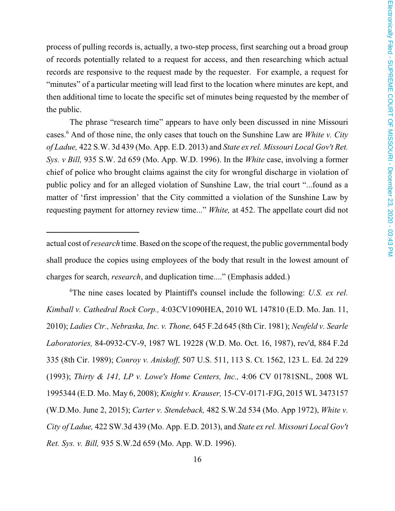process of pulling records is, actually, a two-step process, first searching out a broad group of records potentially related to a request for access, and then researching which actual records are responsive to the request made by the requester. For example, a request for "minutes" of a particular meeting will lead first to the location where minutes are kept, and then additional time to locate the specific set of minutes being requested by the member of the public.

The phrase "research time" appears to have only been discussed in nine Missouri cases.<sup>6</sup> And of those nine, the only cases that touch on the Sunshine Law are *White v. City of Ladue,* 422 S.W. 3d 439 (Mo. App. E.D. 2013) and *State ex rel. Missouri Local Gov't Ret. Sys. v Bill,* 935 S.W. 2d 659 (Mo. App. W.D. 1996). In the *White* case, involving a former chief of police who brought claims against the city for wrongful discharge in violation of public policy and for an alleged violation of Sunshine Law, the trial court "...found as a matter of 'first impression' that the City committed a violation of the Sunshine Law by requesting payment for attorney review time..." *White,* at 452. The appellate court did not

<sup>6</sup>The nine cases located by Plaintiff's counsel include the following: *U.S. ex rel. Kimball v. Cathedral Rock Corp.,* 4:03CV1090HEA, 2010 WL 147810 (E.D. Mo. Jan. 11, 2010); *Ladies Ctr., Nebraska, Inc. v. Thone,* 645 F.2d 645 (8th Cir. 1981); *Neufeld v. Searle Laboratories,* 84-0932-CV-9, 1987 WL 19228 (W.D. Mo. Oct. 16, 1987), rev'd, 884 F.2d 335 (8th Cir. 1989); *Conroy v. Aniskoff,* 507 U.S. 511, 113 S. Ct. 1562, 123 L. Ed. 2d 229 (1993); *Thirty & 141, LP v. Lowe's Home Centers, Inc.,* 4:06 CV 01781SNL, 2008 WL 1995344 (E.D. Mo. May 6, 2008); *Knight v. Krauser,* 15-CV-0171-FJG, 2015 WL 3473157 (W.D.Mo. June 2, 2015); *Carter v. Stendeback,* 482 S.W.2d 534 (Mo. App 1972), *White v. City of Ladue,* 422 SW.3d 439 (Mo. App. E.D. 2013), and *State ex rel. Missouri Local Gov't Ret. Sys. v. Bill,* 935 S.W.2d 659 (Mo. App. W.D. 1996).

actual cost of*research* time. Based on the scope of the request, the public governmental body shall produce the copies using employees of the body that result in the lowest amount of charges for search, *research*, and duplication time...." (Emphasis added.)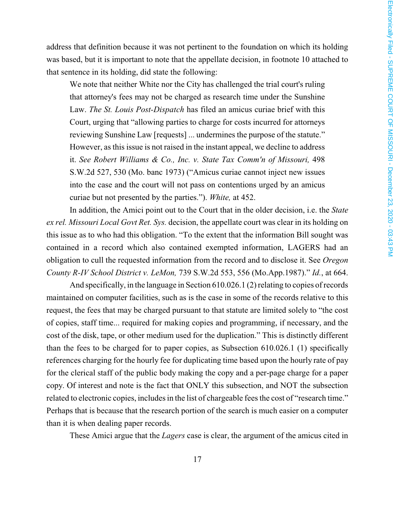address that definition because it was not pertinent to the foundation on which its holding was based, but it is important to note that the appellate decision, in footnote 10 attached to that sentence in its holding, did state the following:

We note that neither White nor the City has challenged the trial court's ruling that attorney's fees may not be charged as research time under the Sunshine Law. *The St. Louis Post-Dispatch* has filed an amicus curiae brief with this Court, urging that "allowing parties to charge for costs incurred for attorneys reviewing Sunshine Law [requests] ... undermines the purpose of the statute." However, as this issue is not raised in the instant appeal, we decline to address it. *See Robert Williams & Co., Inc. v. State Tax Comm'n of Missouri,* 498 S.W.2d 527, 530 (Mo. banc 1973) ("Amicus curiae cannot inject new issues into the case and the court will not pass on contentions urged by an amicus curiae but not presented by the parties."). *White,* at 452.

In addition, the Amici point out to the Court that in the older decision, i.e. the *State ex rel. Missouri Local Govt Ret. Sys.* decision, the appellate court was clear in its holding on this issue as to who had this obligation. "To the extent that the information Bill sought was contained in a record which also contained exempted information, LAGERS had an obligation to cull the requested information from the record and to disclose it. See *Oregon County R-IV School District v. LeMon,* 739 S.W.2d 553, 556 (Mo.App.1987)." *Id.*, at 664.

And specifically, in the language in Section 610.026.1 (2) relating to copies of records maintained on computer facilities, such as is the case in some of the records relative to this request, the fees that may be charged pursuant to that statute are limited solely to "the cost of copies, staff time... required for making copies and programming, if necessary, and the cost of the disk, tape, or other medium used for the duplication." This is distinctly different than the fees to be charged for to paper copies, as Subsection 610.026.1 (1) specifically references charging for the hourly fee for duplicating time based upon the hourly rate of pay for the clerical staff of the public body making the copy and a per-page charge for a paper copy. Of interest and note is the fact that ONLY this subsection, and NOT the subsection related to electronic copies, includes in the list of chargeable fees the cost of "research time." Perhaps that is because that the research portion of the search is much easier on a computer than it is when dealing paper records.

These Amici argue that the *Lagers* case is clear, the argument of the amicus cited in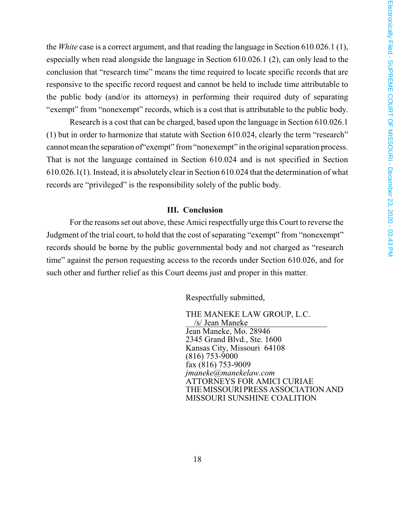the *White* case is a correct argument, and that reading the language in Section 610.026.1 (1), especially when read alongside the language in Section 610.026.1 (2), can only lead to the conclusion that "research time" means the time required to locate specific records that are responsive to the specific record request and cannot be held to include time attributable to the public body (and/or its attorneys) in performing their required duty of separating "exempt" from "nonexempt" records, which is a cost that is attributable to the public body.

Research is a cost that can be charged, based upon the language in Section 610.026.1 (1) but in order to harmonize that statute with Section 610.024, clearly the term "research" cannot mean the separation of"exempt" from"nonexempt" in the original separation process. That is not the language contained in Section 610.024 and is not specified in Section 610.026.1(1). Instead, it is absolutely clear in Section 610.024 that the determination of what records are "privileged" is the responsibility solely of the public body.

#### **III. Conclusion**

For the reasons set out above, these Amici respectfully urge this Court to reverse the Judgment of the trial court, to hold that the cost of separating "exempt" from "nonexempt" records should be borne by the public governmental body and not charged as "research time" against the person requesting access to the records under Section 610.026, and for such other and further relief as this Court deems just and proper in this matter.

Respectfully submitted,

THE MANEKE LAW GROUP, L.C. /s/ Jean Maneke Jean Maneke, Mo. 28946 2345 Grand Blvd., Ste. 1600 Kansas City, Missouri 64108 (816) 753-9000 fax (816) 753-9009 *jmaneke@manekelaw.com* ATTORNEYS FOR AMICI CURIAE THEMISSOURI PRESS ASSOCIATIONAND MISSOURI SUNSHINE COALITION